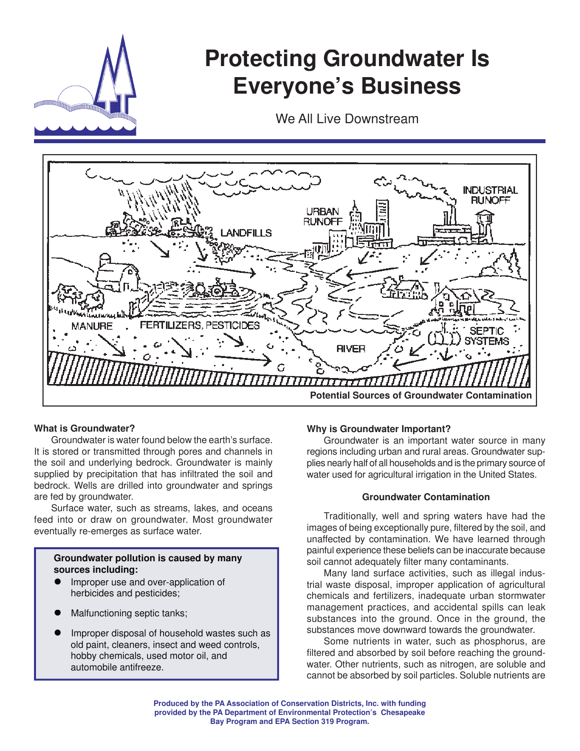

# **Protecting Groundwater Is Everyone's Business**

We All Live Downstream



## **What is Groundwater?**

 Groundwater is water found below the earth's surface. It is stored or transmitted through pores and channels in the soil and underlying bedrock. Groundwater is mainly supplied by precipitation that has infiltrated the soil and bedrock. Wells are drilled into groundwater and springs are fed by groundwater.

 Surface water, such as streams, lakes, and oceans feed into or draw on groundwater. Most groundwater eventually re-emerges as surface water.

## **Groundwater pollution is caused by many sources including:**

- Improper use and over-application of herbicides and pesticides;
- Malfunctioning septic tanks;
- Improper disposal of household wastes such as old paint, cleaners, insect and weed controls, hobby chemicals, used motor oil, and automobile antifreeze.

#### **Why is Groundwater Important?**

 Groundwater is an important water source in many regions including urban and rural areas. Groundwater supplies nearly half of all households and is the primary source of water used for agricultural irrigation in the United States.

#### **Groundwater Contamination**

Traditionally, well and spring waters have had the images of being exceptionally pure, filtered by the soil, and unaffected by contamination. We have learned through painful experience these beliefs can be inaccurate because soil cannot adequately filter many contaminants.

 Many land surface activities, such as illegal industrial waste disposal, improper application of agricultural chemicals and fertilizers, inadequate urban stormwater management practices, and accidental spills can leak substances into the ground. Once in the ground, the substances move downward towards the groundwater.

 Some nutrients in water, such as phosphorus, are filtered and absorbed by soil before reaching the groundwater. Other nutrients, such as nitrogen, are soluble and cannot be absorbed by soil particles. Soluble nutrients are